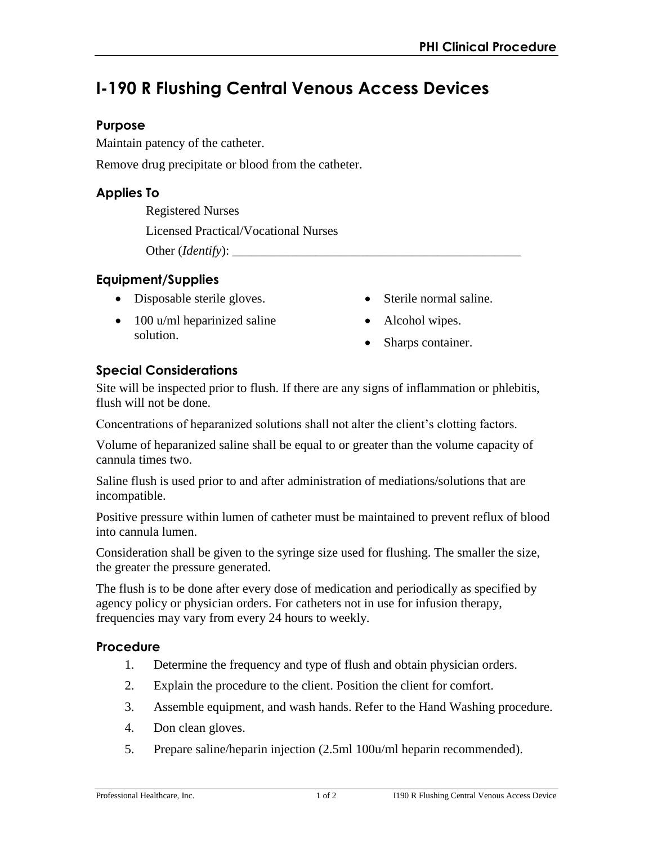# **I-190 R Flushing Central Venous Access Devices**

## **Purpose**

Maintain patency of the catheter.

Remove drug precipitate or blood from the catheter.

# **Applies To**

Registered Nurses Licensed Practical/Vocational Nurses Other (*Identify*):

## **Equipment/Supplies**

- Disposable sterile gloves.
- 100 u/ml heparinized saline solution.
- Sterile normal saline.
- Alcohol wipes.
- Sharps container.

# **Special Considerations**

Site will be inspected prior to flush. If there are any signs of inflammation or phlebitis, flush will not be done.

Concentrations of heparanized solutions shall not alter the client's clotting factors.

Volume of heparanized saline shall be equal to or greater than the volume capacity of cannula times two.

Saline flush is used prior to and after administration of mediations/solutions that are incompatible.

Positive pressure within lumen of catheter must be maintained to prevent reflux of blood into cannula lumen.

Consideration shall be given to the syringe size used for flushing. The smaller the size, the greater the pressure generated.

The flush is to be done after every dose of medication and periodically as specified by agency policy or physician orders. For catheters not in use for infusion therapy, frequencies may vary from every 24 hours to weekly.

## **Procedure**

- 1. Determine the frequency and type of flush and obtain physician orders.
- 2. Explain the procedure to the client. Position the client for comfort.
- 3. Assemble equipment, and wash hands. Refer to the Hand Washing procedure.
- 4. Don clean gloves.
- 5. Prepare saline/heparin injection (2.5ml 100u/ml heparin recommended).